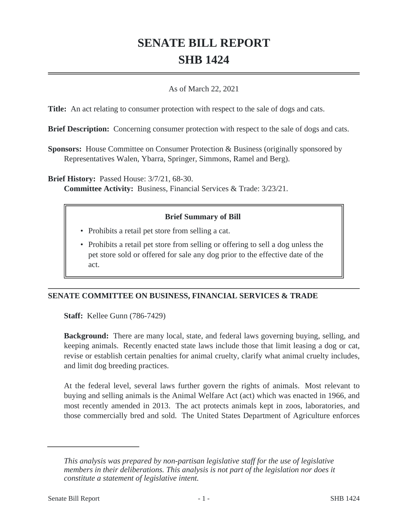# **SENATE BILL REPORT SHB 1424**

### As of March 22, 2021

**Title:** An act relating to consumer protection with respect to the sale of dogs and cats.

**Brief Description:** Concerning consumer protection with respect to the sale of dogs and cats.

**Sponsors:** House Committee on Consumer Protection & Business (originally sponsored by Representatives Walen, Ybarra, Springer, Simmons, Ramel and Berg).

**Brief History:** Passed House: 3/7/21, 68-30.

**Committee Activity:** Business, Financial Services & Trade: 3/23/21.

## **Brief Summary of Bill**

- Prohibits a retail pet store from selling a cat.
- Prohibits a retail pet store from selling or offering to sell a dog unless the pet store sold or offered for sale any dog prior to the effective date of the act.

# **SENATE COMMITTEE ON BUSINESS, FINANCIAL SERVICES & TRADE**

**Staff:** Kellee Gunn (786-7429)

**Background:** There are many local, state, and federal laws governing buying, selling, and keeping animals. Recently enacted state laws include those that limit leasing a dog or cat, revise or establish certain penalties for animal cruelty, clarify what animal cruelty includes, and limit dog breeding practices.

At the federal level, several laws further govern the rights of animals. Most relevant to buying and selling animals is the Animal Welfare Act (act) which was enacted in 1966, and most recently amended in 2013. The act protects animals kept in zoos, laboratories, and those commercially bred and sold. The United States Department of Agriculture enforces

*This analysis was prepared by non-partisan legislative staff for the use of legislative members in their deliberations. This analysis is not part of the legislation nor does it constitute a statement of legislative intent.*